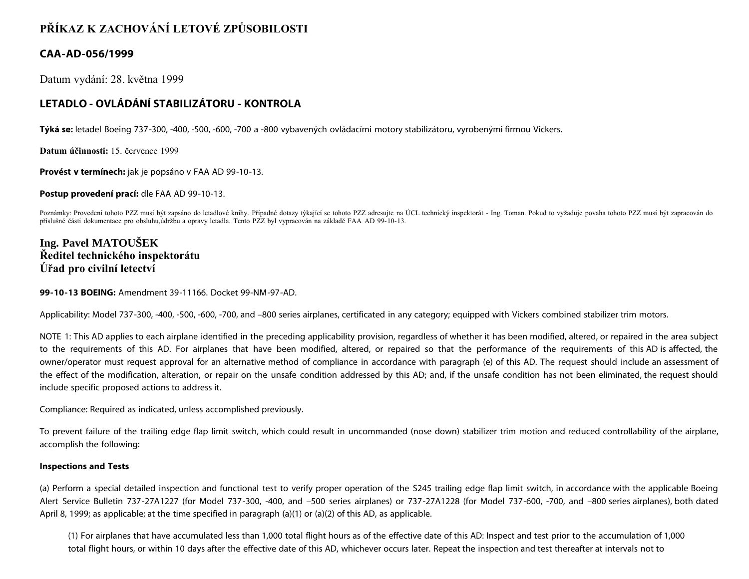# **PŘÍKAZ K ZACHOVÁNÍ LETOVÉ ZPŮSOBILOSTI**

### **CAA-AD-056/1999**

Datum vydání: 28. května 1999

## **LETADLO - OVLÁDÁNÍ STABILIZÁTORU - KONTROLA**

**Týká se:** letadel Boeing 737-300, -400, -500, -600, -700 a -800 vybavených ovládacími motory stabilizátoru, vyrobenými firmou Vickers.

**Datum účinnosti:** 15. července 1999

**Provést v termínech:** jak je popsáno v FAA AD 99-10-13.

**Postup provedení prací:** dle FAA AD 99-10-13.

Poznámky: Provedení tohoto PZZ musí být zapsáno do letadlové knihy. Případné dotazy týkající se tohoto PZZ adresujte na ÚCL technický inspektorát - Ing. Toman. Pokud to vyžaduje povaha tohoto PZZ musí být zapracován do příslušné části dokumentace pro obsluhu,údržbu a opravy letadla. Tento PZZ byl vypracován na základě FAA AD 99-10-13.

## **Ing. Pavel MATOUŠEK Ředitel technického inspektorátu Úřad pro civilní letectví**

#### **99-10-13 BOEING:** Amendment 39-11166. Docket 99-NM-97-AD.

Applicability: Model 737-300, -400, -500, -600, -700, and -800 series airplanes, certificated in any category; equipped with Vickers combined stabilizer trim motors.

NOTE 1: This AD applies to each airplane identified in the preceding applicability provision, regardless of whether it has been modified, altered, or repaired in the area subject to the requirements of this AD. For airplanes that have been modified, altered, or repaired so that the performance of the requirements of this AD is affected, the owner/operator must request approval for an alternative method of compliance in accordance with paragraph (e) of this AD. The request should include an assessment of the effect of the modification, alteration, or repair on the unsafe condition addressed by this AD; and, if the unsafe condition has not been eliminated, the request should include specific proposed actions to address it.

Compliance: Required as indicated, unless accomplished previously.

To prevent failure of the trailing edge flap limit switch, which could result in uncommanded (nose down) stabilizer trim motion and reduced controllability of the airplane, accomplish the following:

#### **Inspections and Tests**

(a) Perform a special detailed inspection and functional test to verify proper operation of the S245 trailing edge flap limit switch, in accordance with the applicable Boeing Alert Service Bulletin 737-27A1227 (for Model 737-300, -400, and –500 series airplanes) or 737-27A1228 (for Model 737-600, -700, and –800 series airplanes), both dated April 8, 1999; as applicable; at the time specified in paragraph (a)(1) or (a)(2) of this AD, as applicable.

(1) For airplanes that have accumulated less than 1,000 total flight hours as of the effective date of this AD: Inspect and test prior to the accumulation of 1,000 total flight hours, or within 10 days after the effective date of this AD, whichever occurs later. Repeat the inspection and test thereafter at intervals not to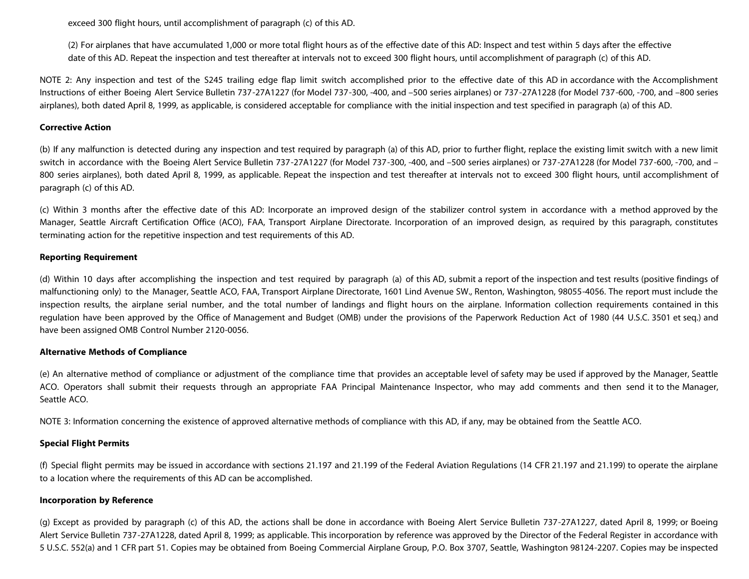exceed 300 flight hours, until accomplishment of paragraph (c) of this AD.

(2) For airplanes that have accumulated 1,000 or more total flight hours as of the effective date of this AD: Inspect and test within 5 days after the effective date of this AD. Repeat the inspection and test thereafter at intervals not to exceed 300 flight hours, until accomplishment of paragraph (c) of this AD.

NOTE 2: Any inspection and test of the S245 trailing edge flap limit switch accomplished prior to the effective date of this AD in accordance with the Accomplishment Instructions of either Boeing Alert Service Bulletin 737-27A1227 (for Model 737-300, -400, and –500 series airplanes) or 737-27A1228 (for Model 737-600, -700, and –800 series airplanes), both dated April 8, 1999, as applicable, is considered acceptable for compliance with the initial inspection and test specified in paragraph (a) of this AD.

#### **Corrective Action**

(b) If any malfunction is detected during any inspection and test required by paragraph (a) of this AD, prior to further flight, replace the existing limit switch with a new limit switch in accordance with the Boeing Alert Service Bulletin 737-27A1227 (for Model 737-300, -400, and –500 series airplanes) or 737-27A1228 (for Model 737-600, -700, and – 800 series airplanes), both dated April 8, 1999, as applicable. Repeat the inspection and test thereafter at intervals not to exceed 300 flight hours, until accomplishment of paragraph (c) of this AD.

(c) Within 3 months after the effective date of this AD: Incorporate an improved design of the stabilizer control system in accordance with a method approved by the Manager, Seattle Aircraft Certification Office (ACO), FAA, Transport Airplane Directorate. Incorporation of an improved design, as required by this paragraph, constitutes terminating action for the repetitive inspection and test requirements of this AD.

#### **Reporting Requirement**

(d) Within 10 days after accomplishing the inspection and test required by paragraph (a) of this AD, submit a report of the inspection and test results (positive findings of malfunctioning only) to the Manager, Seattle ACO, FAA, Transport Airplane Directorate, 1601 Lind Avenue SW., Renton, Washington, 98055-4056. The report must include the inspection results, the airplane serial number, and the total number of landings and flight hours on the airplane. Information collection requirements contained in this regulation have been approved by the Office of Management and Budget (OMB) under the provisions of the Paperwork Reduction Act of 1980 (44 U.S.C. 3501 et seq.) and have been assigned OMB Control Number 2120-0056.

#### **Alternative Methods of Compliance**

(e) An alternative method of compliance or adjustment of the compliance time that provides an acceptable level of safety may be used if approved by the Manager, Seattle ACO. Operators shall submit their requests through an appropriate FAA Principal Maintenance Inspector, who may add comments and then send it to the Manager, Seattle ACO.

NOTE 3: Information concerning the existence of approved alternative methods of compliance with this AD, if any, may be obtained from the Seattle ACO.

#### **Special Flight Permits**

(f) Special flight permits may be issued in accordance with sections 21.197 and 21.199 of the Federal Aviation Regulations (14 CFR 21.197 and 21.199) to operate the airplane to a location where the requirements of this AD can be accomplished.

#### **Incorporation by Reference**

(g) Except as provided by paragraph (c) of this AD, the actions shall be done in accordance with Boeing Alert Service Bulletin 737-27A1227, dated April 8, 1999; or Boeing Alert Service Bulletin 737-27A1228, dated April 8, 1999; as applicable. This incorporation by reference was approved by the Director of the Federal Register in accordance with 5 U.S.C. 552(a) and 1 CFR part 51. Copies may be obtained from Boeing Commercial Airplane Group, P.O. Box 3707, Seattle, Washington 98124-2207. Copies may be inspected